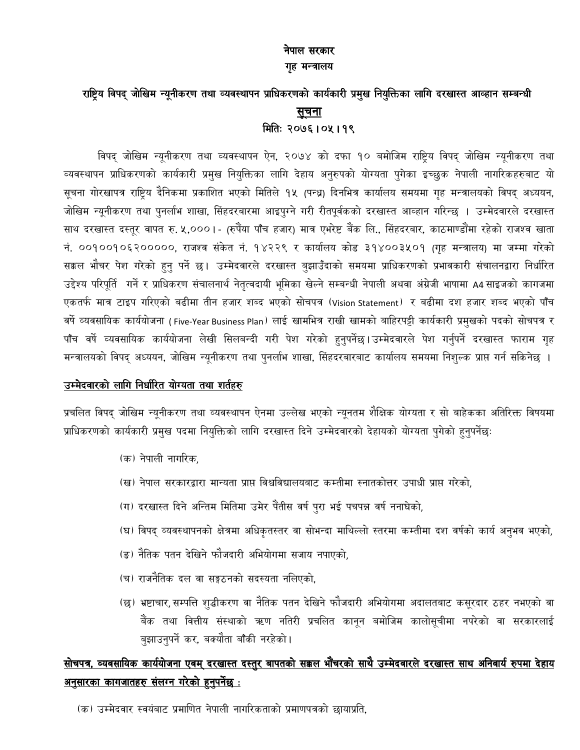### नेपाल सरकार गृह मन्त्रालय

## राष्ट्रिय विपद् जोखिम न्यूनीकरण तथा व्यवस्थापन प्राधिकरणको कार्यकारी प्रमुख नियुक्तिका लागि दरखास्त आव्हान सम्बन्धी <u>सूचना</u> मितिः २०७६ । ०५ । १९

विपद् जोखिम न्यूनीकरण तथा व्यवस्थापन ऐन, २०७४ को दफा १० बमोजिम राष्ट्रिय विपद् जोखिम न्यूनीकरण तथा व्यवस्थापन प्राधिकरणको कार्यकारी प्रमुख नियुक्तिका लागि देहाय अनुरुपको योग्यता पुगेका इच्छुक नेपाली नागरिकहरुबाट यो सूचना गोरखापत्र राष्ट्रिय दैनिकमा प्रकाशित भएको मितिले १५ (पन्ध्र) दिनभित्र कार्यालय समयमा गृह मन्त्रालयको विपद् अध्ययन, जोखिम न्यूनीकरण तथा पुनर्लाभ शाखा, सिंहदरबारमा आइपुग्ने गरी रीतपूर्वकको दरखास्त आव्हान गरिन्छ । उम्मेदवारले दरखास्त साथ दरखास्त दस्तूर वापत रु. ५,०००।- (रुपैंया पाँच हजार) मात्र एभरेष्ट बैंक लि., सिंहदरबार, काठमाण्डौंमा रहेको राजश्व खाता नं. ००१००१०६२०००००, राजश्व संकेत नं. १४२२९ र कार्यालय कोड ३१४००३५०१ (गृह मन्त्रालय) मा जम्मा गरेको सक्कल भौचर पेश गरेको हुनु पर्ने छ। उम्मेदवारले दरखास्त बुझाउँदाको समयमा प्राधिकरणको प्रभावकारी संचालनद्वारा निर्धारित उद्देश्य परिपूर्ति गर्ने र प्राधिकरण संचालनार्थ नेतृत्वदायी भूमिका खेल्ने सम्बन्धी नेपाली अथवा अंग्रेजी भाषामा A4साइजको कागजमा एकतर्फ मात्र टाइप गरिएको बढीमा तीन हजार शब्द भएको सोचपत्र (Vision Statement) र बढीमा दश हजार शब्द भएको पाँच वर्षे व्यवसायिक कार्ययोजना (Five-Year Business Plan) लाई खामभित्र राखी खामको बाहिरपट्टी कार्यकारी प्रमुखको पदको सोचपत्र र पाँच वर्षे व्यवसायिक कार्ययोजना लेखी सिलबन्दी गरी पेश गरेको हुनुपर्नेछ।उम्मेदवारले पेश गर्नुपर्ने दरखास्त फाराम गृह मन्त्रालयको विपद् अध्ययन, जोखिम न्यूनीकरण तथा पुनर्लाभ शाखा, सिंहदरबारबाट कार्यालय समयमा निशुल्क प्राप्त गर्न सकिनेछ ।

### उम्मेदवारको लागि निर्धारित योग्यता तथा शर्तहरु

प्रचलित विपद् जोखिम न्यूनीकरण तथा व्यवस्थापन ऐनमा उल्लेख भएको न्यूनतम शैक्षिक योग्यता र सो बाहेकका अतिरिक्त विषयमा प्राधिकरणको कार्यकारी प्रमुख पदमा नियुक्तिको लागि दरखास्त दिने उम्मेदवारको देहायको योग्यता पुगेको हुनुपर्नेछः

- (क) नेपाली नागरिक.
- (ख) नेपाल सरकारद्वारा मान्यता प्राप्त विश्वविद्यालयबाट कम्तीमा स्नातकोत्तर उपाधी प्राप्त गरेको,
- (ग) दरखास्त दिने अन्तिम मितिमा उमेर पैंतीस वर्ष पुरा भई पचपन्न वर्ष ननाघेको,
- (घ) विपद् व्यवस्थापनको क्षेत्रमा अधिकृतस्तर वा सोभन्दा माथिल्लो स्तरमा कम्तीमा दश वर्षको कार्य अनुभव भएको,
- (ङ) नैतिक पतन देखिने फौजदारी अभियोगमा सजाय नपाएको,
- (च) राजनैतिक दल वा सङ्गठनको सदस्यता नलिएको.
- (छ) भ्रष्टाचार, सम्पत्ति शुद्धीकरण वा नैतिक पतन देखिने फौजदारी अभियोगमा अदालतबाट कसूरदार ठहर नभएको वा बैंक तथा वित्तीय संस्थाको ऋण नतिरी प्रचलित कानून बमोजिम कालोसूचीमा नपरेको वा सरकारलाई बुझाउनुपर्ने कर, बक्यौता बाँकी नरहेको।

# <u>सोचपत्र, व्यवसायिक कार्ययोजना एवम् दरखास्त दस्तुर बापतको सक्कल भौंचरको साथै उम्मेदवारले दरखास्त साथ अनिवार्य रुपमा देहाय</u> <u>अनुसारका कागजातहरु संलग्न गरेको हुनुपर्नेछ :</u>

(क) उम्मेदवार स्वयंबाट प्रमाणित नेपाली नागरिकताको प्रमाणपत्रको छायाप्रति.